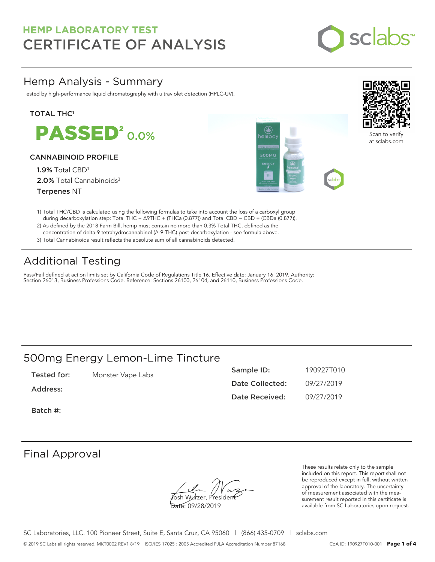

### Hemp Analysis - Summary

Tested by high-performance liquid chromatography with ultraviolet detection (HPLC-UV).

### **TOTAL THC1**

**PASSED<sup>2</sup>0.0%** 

### CANNABINOID PROFILE

1.9% Total CBD<sup>1</sup> 2.0% Total Cannabinoids<sup>3</sup> Terpenes NT





Scan to verify at sclabs.com

- 1) Total THC/CBD is calculated using the following formulas to take into account the loss of a carboxyl group during decarboxylation step: Total THC = ∆9THC + (THCa (0.877)) and Total CBD = CBD + (CBDa (0.877)).
- 2) As defined by the 2018 Farm Bill, hemp must contain no more than 0.3% Total THC, defined as the concentration of delta-9 tetrahydrocannabinol (Δ-9-THC) post-decarboxylation - see formula above.
- 3) Total Cannabinoids result reflects the absolute sum of all cannabinoids detected.

## Additional Testing

Pass/Fail defined at action limits set by California Code of Regulations Title 16. Effective date: January 16, 2019. Authority: Section 26013, Business Professions Code. Reference: Sections 26100, 26104, and 26110, Business Professions Code.

### 500mg Energy Lemon-Lime Tincture

| Tested for: | Monster Vape Labs | Sample ID:      | 190927T010 |
|-------------|-------------------|-----------------|------------|
| Address:    |                   | Date Collected: | 09/27/2019 |
|             |                   | Date Received:  | 09/27/2019 |

Batch #:

### Final Approval

**J**osh Wurzer, Presiden<del>t</del> Date: 09/28/2019

These results relate only to the sample included on this report. This report shall not be reproduced except in full, without written approval of the laboratory. The uncertainty of measurement associated with the measurement result reported in this certificate is available from SC Laboratories upon request.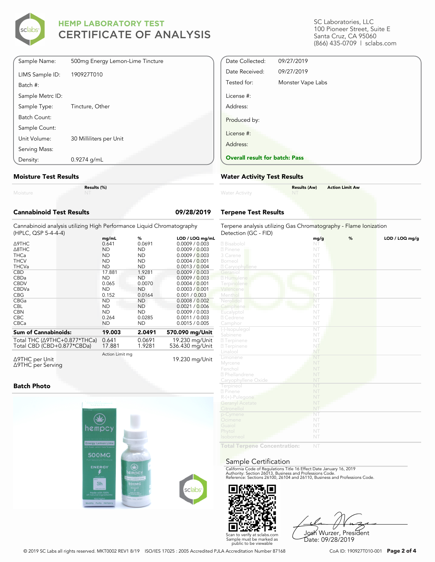

| Density:         | $0.9274$ g/mL                    |
|------------------|----------------------------------|
| Serving Mass:    |                                  |
| Unit Volume:     | 30 Milliliters per Unit          |
| Sample Count:    |                                  |
| Batch Count:     |                                  |
| Sample Type:     | Tincture, Other                  |
| Sample Metrc ID: |                                  |
| Batch #:         |                                  |
| LIMS Sample ID:  | 190927T010                       |
| Sample Name:     | 500mg Energy Lemon-Lime Tincture |

#### **Moisture Test Results**

|          | Res |
|----------|-----|
| Moisture |     |

**Results (%)**

| <b>Cannabinoid Test Results</b>                                                              |                |             | 09/28/2019                        |
|----------------------------------------------------------------------------------------------|----------------|-------------|-----------------------------------|
| Cannabinoid analysis utilizing High Performance Liquid Chromatography<br>(HPLC, QSP 5-4-4-4) |                |             |                                   |
| $\Delta$ 9THC                                                                                | mq/mL<br>0.641 | %<br>0.0691 | LOD / LOQ mg/mL<br>0.0009 / 0.003 |

| $\triangle$ 9THC                         | 0.641           | 0.0691    | 0.0009 / 0.003  |
|------------------------------------------|-----------------|-----------|-----------------|
| $\triangle$ 8THC                         | <b>ND</b>       | <b>ND</b> | 0.0009 / 0.003  |
| <b>THCa</b>                              | <b>ND</b>       | ND.       | 0.0009 / 0.003  |
| <b>THCV</b>                              | ND              | ND.       | 0.0004 / 0.001  |
| <b>THCVa</b>                             | <b>ND</b>       | ND.       | 0.0013 / 0.004  |
| CBD                                      | 17.881          | 1.9281    | 0.0009 / 0.003  |
| <b>CBDa</b>                              | <b>ND</b>       | ND        | 0.0009 / 0.003  |
| <b>CBDV</b>                              | 0.065           | 0.0070    | 0.0004 / 0.001  |
| <b>CBDVa</b>                             | <b>ND</b>       | ND.       | 0.0003 / 0.001  |
| <b>CBG</b>                               | 0.152           | 0.0164    | 0.001 / 0.003   |
| CBGa                                     | <b>ND</b>       | ND        | 0.0008 / 0.002  |
| <b>CBL</b>                               | <b>ND</b>       | ND.       | 0.0021 / 0.006  |
| <b>CBN</b>                               | <b>ND</b>       | ND        | 0.0009 / 0.003  |
| <b>CBC</b>                               | 0.264           | 0.0285    | 0.0011 / 0.003  |
| <b>CBCa</b>                              | <b>ND</b>       | ND        | 0.0015 / 0.005  |
| <b>Sum of Cannabinoids:</b>              | 19.003          | 2.0491    | 570.090 mg/Unit |
| Total THC ( $\triangle$ 9THC+0.877*THCa) | 0.641           | 0.0691    | 19.230 mg/Unit  |
| Total CBD (CBD+0.877*CBDa)               | 17.881          | 1.9281    | 536.430 mg/Unit |
|                                          | Action Limit mg |           |                 |

Δ9THC per Unit Δ9THC per Serving

19.230 mg/Unit

### **Batch Photo**



SC Laboratories, LLC 100 Pioneer Street, Suite E Santa Cruz, CA 95060 (866) 435-0709 | sclabs.com

| Date Collected:                       | 09/27/2019        |
|---------------------------------------|-------------------|
| Date Received:                        | 09/27/2019        |
| Tested for:                           | Monster Vape Labs |
| License #:                            |                   |
| Address:                              |                   |
| Produced by:                          |                   |
| License #:                            |                   |
| Address:                              |                   |
| <b>Overall result for batch: Pass</b> |                   |

#### **Water Activity Test Results**

| <b>Water Activity</b> | <b>Results (Aw)</b><br><b>NT</b><br><b>Contract Contract Contract</b> | <b>Action Limit Aw</b> |
|-----------------------|-----------------------------------------------------------------------|------------------------|
|                       |                                                                       |                        |

### **Terpene Test Results**

| Terpene analysis utilizing Gas Chromatography - Flame Ionization |            |   |                |  |
|------------------------------------------------------------------|------------|---|----------------|--|
| Detection (GC - FID)                                             |            | % |                |  |
| 2 Bisabolol                                                      | mg/g<br>NT |   | LOD / LOQ mg/g |  |
| 2 Pinene                                                         | NT         |   |                |  |
| 3 Carene                                                         | NT         |   |                |  |
| Borneol                                                          | NT         |   |                |  |
| <b>Z</b> Caryophyllene                                           | NT         |   |                |  |
| Geraniol                                                         | NT         |   |                |  |
| 2 Humulene                                                       | NT         |   |                |  |
| Terpinolene                                                      | NT         |   |                |  |
| Valencene                                                        | NT         |   |                |  |
| Menthol                                                          | NT         |   |                |  |
| Nerolidol                                                        | NT         |   |                |  |
| Camphene                                                         | NT         |   |                |  |
| Eucalyptol                                                       | NT         |   |                |  |
| 2 Cedrene                                                        | NT         |   |                |  |
|                                                                  | NT         |   |                |  |
| Camphor                                                          | NT         |   |                |  |
| (-)-Isopulegol                                                   | NT         |   |                |  |
| Sabinene                                                         | NT.        |   |                |  |
| <sup>2</sup> Terpinene                                           | NT         |   |                |  |
| <b>27</b> Terpinene                                              |            |   |                |  |
| Linalool<br>Limonene                                             | NT<br>NT   |   |                |  |
|                                                                  | NT         |   |                |  |
| Myrcene                                                          |            |   |                |  |
| Fenchol                                                          | NT         |   |                |  |
| 2 Phellandrene                                                   | NT         |   |                |  |
| Caryophyllene Oxide                                              | NT<br>NT   |   |                |  |
| Terpineol                                                        | NT         |   |                |  |
| 2 Pinene                                                         | NT         |   |                |  |
| R-(+)-Pulegone                                                   |            |   |                |  |
| <b>Geranyl Acetate</b>                                           | NT         |   |                |  |
| Citronellol                                                      | NT         |   |                |  |
| p-Cymene                                                         | NT         |   |                |  |
| Ocimene                                                          | NT         |   |                |  |
| Guaiol                                                           | NT         |   |                |  |
| Phytol                                                           | NT         |   |                |  |
| Isoborneol                                                       | NT         |   |                |  |
| <b>Contact The</b>                                               |            |   |                |  |

**Total Terpene Concentration:**

#### Sample Certification

California Code of Regulations Title 16 Effect Date January 16, 2019<br>Authority: Section 26013, Business and Professions Code.<br>Reference: Sections 26100, 26104 and 26110, Business and Professions Code.



Josh Wurzer, President Date: 09/28/2019

© 2019 SC Labs all rights reserved. MKT0002 REV1 8/19 ISO/IES 17025 : 2005 Accredited PJLA Accreditation Number 87168 CoA ID: 190927T010-001 **Page 2 of 4**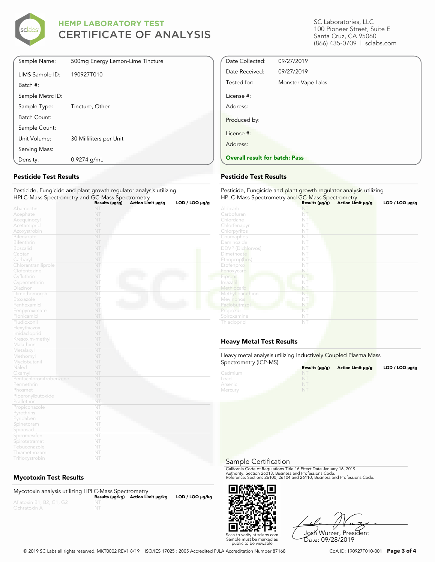

| Sample Name:     | 500mg Energy Lemon-Lime Tincture |
|------------------|----------------------------------|
| LIMS Sample ID:  | 190927T010                       |
| Batch #:         |                                  |
| Sample Metrc ID: |                                  |
| Sample Type:     | Tincture, Other                  |
| Batch Count:     |                                  |
| Sample Count:    |                                  |
| Unit Volume:     | 30 Milliliters per Unit          |
| Serving Mass:    |                                  |
| Density:         | $0.9274$ g/mL                    |

### **Pesticide Test Results**

#### Pesticide, Fungicide and plant growth regulator analysis utilizing HPLC-Mass Spectrometry and GC-Mass Spectrometry

|                         | Results (µg/g) | Action Limit µg/g | $LOD / LOQ \mu g/g$ |
|-------------------------|----------------|-------------------|---------------------|
| Abamectin               | NT             |                   |                     |
| Acephate                | NT             |                   |                     |
| Acequinocyl             | NT             |                   |                     |
| Acetamiprid             | NT             |                   |                     |
| Azoxystrobin            | NT             |                   |                     |
| Bifenazate              | NT             |                   |                     |
| Bifenthrin              | NT             |                   |                     |
| <b>Boscalid</b>         | NT             |                   |                     |
| Captan                  | NT             |                   |                     |
| Carbaryl                | NT             |                   |                     |
| Chlorantraniliprole     | NT             |                   |                     |
| Clofentezine            | NT             |                   |                     |
| Cyfluthrin              | NT             |                   |                     |
| Cypermethrin            | NT             |                   |                     |
| Diazinon                | NT             |                   |                     |
| Dimethomorph            | NT             |                   |                     |
| Etoxazole               | NT             |                   |                     |
| Fenhexamid              | NT             |                   |                     |
| Fenpyroximate           | NT             |                   |                     |
| Flonicamid              | NT             |                   |                     |
| Fludioxonil             | NT             |                   |                     |
| Hexythiazox             | NT             |                   |                     |
| Imidacloprid            | NT             |                   |                     |
| Kresoxim-methyl         | NT             |                   |                     |
| Malathion               | NT             |                   |                     |
| Metalaxyl               | NT             |                   |                     |
| Methomyl                | NT             |                   |                     |
| Myclobutanil            | NT             |                   |                     |
| Naled                   | NT             |                   |                     |
| Oxamyl                  | NT             |                   |                     |
| Pentachloronitrobenzene | NT             |                   |                     |
| Permethrin              | NT             |                   |                     |
| Phosmet                 | NT             |                   |                     |
| Piperonylbutoxide       | NT             |                   |                     |
| Prallethrin             | NT             |                   |                     |
| Propiconazole           | NT             |                   |                     |
| Pyrethrins              | NT             |                   |                     |
| Pyridaben               | NT             |                   |                     |
| Spinetoram              | NT             |                   |                     |
| Spinosad                | NT             |                   |                     |
| Spiromesifen            | NT             |                   |                     |
| Spirotetramat           | NT             |                   |                     |
| Tebuconazole            | NT             |                   |                     |
| Thiamethoxam            | NT             |                   |                     |

### **Mycotoxin Test Results**

| Mycotoxin analysis utilizing HPLC-Mass Spectrometry |                                    |                      |
|-----------------------------------------------------|------------------------------------|----------------------|
|                                                     | Results (µq/kq) Action Limit µq/kq | $LOD / LOQ \mu g/kg$ |
| Aflatoxin B1, B2, G1, G2                            |                                    |                      |
| Ochratoxin A                                        |                                    |                      |

SC Laboratories, LLC 100 Pioneer Street, Suite E Santa Cruz, CA 95060 (866) 435-0709 | sclabs.com

| License #:               |                   |  |
|--------------------------|-------------------|--|
| Address:<br>Produced by: |                   |  |
| License #:               |                   |  |
| Tested for:              | Monster Vape Labs |  |
| Date Received:           | 09/27/2019        |  |
| Date Collected:          | 09/27/2019        |  |

### **Pesticide Test Results**

| Pesticide, Fungicide and plant growth regulator analysis utilizing<br>HPLC-Mass Spectrometry and GC-Mass Spectrometry |                     |                   |                |
|-----------------------------------------------------------------------------------------------------------------------|---------------------|-------------------|----------------|
|                                                                                                                       | Results $(\mu g/g)$ | Action Limit µg/g | LOD / LOQ µg/g |
| Aldicarb                                                                                                              | NI                  |                   |                |
| Carbofuran                                                                                                            | NT                  |                   |                |
| Chlordane                                                                                                             | NT                  |                   |                |
| Chlorfenapyr                                                                                                          | NT                  |                   |                |
| Chlorpyrifos                                                                                                          | NT                  |                   |                |
| Coumaphos                                                                                                             | NT                  |                   |                |
| Daminozide                                                                                                            | NT                  |                   |                |
| <b>DDVP</b> (Dichlorvos)                                                                                              | NT                  |                   |                |
| Dimethoate                                                                                                            | NT                  |                   |                |
| Ethoprop(hos)                                                                                                         | NT                  |                   |                |
| Etofenprox                                                                                                            | NT                  |                   |                |
| Fenoxycarb                                                                                                            | NT                  |                   |                |
| Fipronil                                                                                                              | NT                  |                   |                |
| Imazalil                                                                                                              | NT                  |                   |                |
| Methiocarb                                                                                                            | NT                  |                   |                |
| Methyl parathion                                                                                                      | NT                  |                   |                |
| Mevinphos                                                                                                             | NT                  |                   |                |
| Paclobutrazol                                                                                                         | NT                  |                   |                |
| Propoxur                                                                                                              | NT                  |                   |                |
| Spiroxamine                                                                                                           | NT                  |                   |                |
| Thiacloprid                                                                                                           | NT                  |                   |                |

### **Heavy Metal Test Results**

Heavy metal analysis utilizing Inductively Coupled Plasma Mass Spectrometry (ICP-MS)

| $\sum_{i=1}^{n}$ | Results $(\mu q/q)$ | Action Limit µq/q | LOD / LOQ $\mu$ g/g |
|------------------|---------------------|-------------------|---------------------|
| Cadmium          | <b>NT</b>           |                   |                     |
| Lead             |                     |                   |                     |
| Arsenic          | NT                  |                   |                     |
| Mercury          | NT                  |                   |                     |

Sample Certification

California Code of Regulations Title 16 Effect Date January 16, 2019<br>Authority: Section 26013, Business and Professions Code.<br>Reference: Sections 26100, 26104 and 26110, Business and Professions Code.



Josh Wurzer, President Date: 09/28/2019

© 2019 SC Labs all rights reserved. MKT0002 REV1 8/19 ISO/IES 17025 : 2005 Accredited PJLA Accreditation Number 87168 CoA ID: 190927T010-001 **Page 3 of 4**